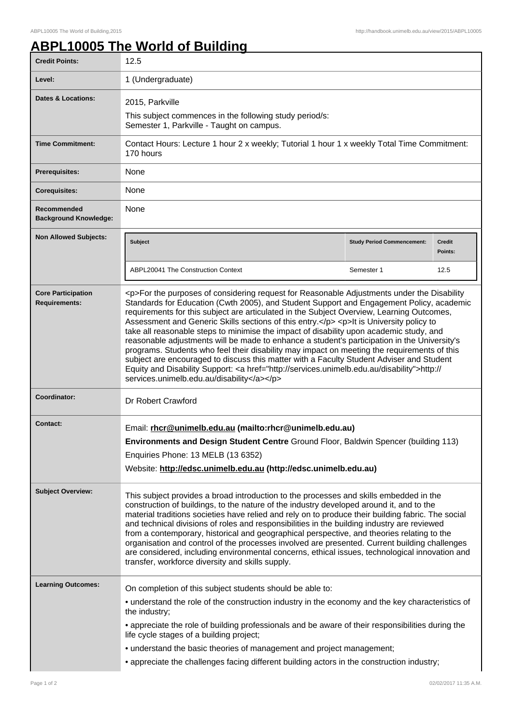## **ABPL10005 The World of Building**

| <b>Credit Points:</b>                             | 12.5                                                                                                                                                                                                                                                                                                                                                                                                                                                                                                                                                                                                                                                                                                                                                                                                                                                                                                                      |                                   |                   |  |
|---------------------------------------------------|---------------------------------------------------------------------------------------------------------------------------------------------------------------------------------------------------------------------------------------------------------------------------------------------------------------------------------------------------------------------------------------------------------------------------------------------------------------------------------------------------------------------------------------------------------------------------------------------------------------------------------------------------------------------------------------------------------------------------------------------------------------------------------------------------------------------------------------------------------------------------------------------------------------------------|-----------------------------------|-------------------|--|
| Level:                                            | 1 (Undergraduate)                                                                                                                                                                                                                                                                                                                                                                                                                                                                                                                                                                                                                                                                                                                                                                                                                                                                                                         |                                   |                   |  |
| Dates & Locations:                                | 2015, Parkville                                                                                                                                                                                                                                                                                                                                                                                                                                                                                                                                                                                                                                                                                                                                                                                                                                                                                                           |                                   |                   |  |
|                                                   | This subject commences in the following study period/s:<br>Semester 1, Parkville - Taught on campus.                                                                                                                                                                                                                                                                                                                                                                                                                                                                                                                                                                                                                                                                                                                                                                                                                      |                                   |                   |  |
| <b>Time Commitment:</b>                           | Contact Hours: Lecture 1 hour 2 x weekly; Tutorial 1 hour 1 x weekly Total Time Commitment:<br>170 hours                                                                                                                                                                                                                                                                                                                                                                                                                                                                                                                                                                                                                                                                                                                                                                                                                  |                                   |                   |  |
| <b>Prerequisites:</b>                             | None                                                                                                                                                                                                                                                                                                                                                                                                                                                                                                                                                                                                                                                                                                                                                                                                                                                                                                                      |                                   |                   |  |
| <b>Corequisites:</b>                              | None                                                                                                                                                                                                                                                                                                                                                                                                                                                                                                                                                                                                                                                                                                                                                                                                                                                                                                                      |                                   |                   |  |
| Recommended<br><b>Background Knowledge:</b>       | None                                                                                                                                                                                                                                                                                                                                                                                                                                                                                                                                                                                                                                                                                                                                                                                                                                                                                                                      |                                   |                   |  |
| <b>Non Allowed Subjects:</b>                      | <b>Subject</b>                                                                                                                                                                                                                                                                                                                                                                                                                                                                                                                                                                                                                                                                                                                                                                                                                                                                                                            | <b>Study Period Commencement:</b> | Credit<br>Points: |  |
|                                                   | ABPL20041 The Construction Context                                                                                                                                                                                                                                                                                                                                                                                                                                                                                                                                                                                                                                                                                                                                                                                                                                                                                        | Semester 1                        | 12.5              |  |
| <b>Core Participation</b><br><b>Requirements:</b> | <p>For the purposes of considering request for Reasonable Adjustments under the Disability<br/>Standards for Education (Cwth 2005), and Student Support and Engagement Policy, academic<br/>requirements for this subject are articulated in the Subject Overview, Learning Outcomes,<br/>Assessment and Generic Skills sections of this entry.</p> <p>lt is University policy to<br/>take all reasonable steps to minimise the impact of disability upon academic study, and<br/>reasonable adjustments will be made to enhance a student's participation in the University's<br/>programs. Students who feel their disability may impact on meeting the requirements of this<br/>subject are encouraged to discuss this matter with a Faculty Student Adviser and Student<br/>Equity and Disability Support: <a href="http://services.unimelb.edu.au/disability">http://<br/>services.unimelb.edu.au/disability</a></p> |                                   |                   |  |
| Coordinator:                                      | Dr Robert Crawford                                                                                                                                                                                                                                                                                                                                                                                                                                                                                                                                                                                                                                                                                                                                                                                                                                                                                                        |                                   |                   |  |
| <b>Contact:</b>                                   | Email: rhcr@unimelb.edu.au (mailto:rhcr@unimelb.edu.au)<br>Environments and Design Student Centre Ground Floor, Baldwin Spencer (building 113)<br>Enquiries Phone: 13 MELB (13 6352)<br>Website: http://edsc.unimelb.edu.au (http://edsc.unimelb.edu.au)                                                                                                                                                                                                                                                                                                                                                                                                                                                                                                                                                                                                                                                                  |                                   |                   |  |
| <b>Subject Overview:</b>                          | This subject provides a broad introduction to the processes and skills embedded in the<br>construction of buildings, to the nature of the industry developed around it, and to the<br>material traditions societies have relied and rely on to produce their building fabric. The social<br>and technical divisions of roles and responsibilities in the building industry are reviewed<br>from a contemporary, historical and geographical perspective, and theories relating to the<br>organisation and control of the processes involved are presented. Current building challenges<br>are considered, including environmental concerns, ethical issues, technological innovation and<br>transfer, workforce diversity and skills supply.                                                                                                                                                                              |                                   |                   |  |
| <b>Learning Outcomes:</b>                         | On completion of this subject students should be able to:                                                                                                                                                                                                                                                                                                                                                                                                                                                                                                                                                                                                                                                                                                                                                                                                                                                                 |                                   |                   |  |
|                                                   | • understand the role of the construction industry in the economy and the key characteristics of<br>the industry;                                                                                                                                                                                                                                                                                                                                                                                                                                                                                                                                                                                                                                                                                                                                                                                                         |                                   |                   |  |
|                                                   | • appreciate the role of building professionals and be aware of their responsibilities during the<br>life cycle stages of a building project;                                                                                                                                                                                                                                                                                                                                                                                                                                                                                                                                                                                                                                                                                                                                                                             |                                   |                   |  |
|                                                   | • understand the basic theories of management and project management;                                                                                                                                                                                                                                                                                                                                                                                                                                                                                                                                                                                                                                                                                                                                                                                                                                                     |                                   |                   |  |
|                                                   | • appreciate the challenges facing different building actors in the construction industry;                                                                                                                                                                                                                                                                                                                                                                                                                                                                                                                                                                                                                                                                                                                                                                                                                                |                                   |                   |  |